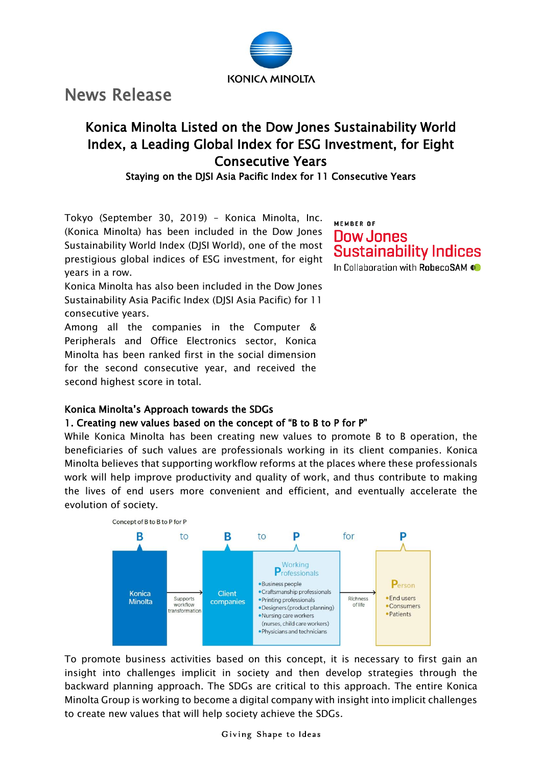

News Release

# Konica Minolta Listed on the Dow Jones Sustainability World Index, a Leading Global Index for ESG Investment, for Eight Consecutive Years

Staying on the DJSI Asia Pacific Index for 11 Consecutive Years

Tokyo (September 30, 2019) – Konica Minolta, Inc. (Konica Minolta) has been included in the Dow Jones Sustainability World Index (DJSI World), one of the most prestigious global indices of ESG investment, for eight years in a row.

Konica Minolta has also been included in the Dow Jones Sustainability Asia Pacific Index (DJSI Asia Pacific) for 11 consecutive years.

Among all the companies in the Computer & Peripherals and Office Electronics sector, Konica Minolta has been ranked first in the social dimension for the second consecutive year, and received the second highest score in total.

# MEMBER OF **Dow Jones Sustainability Indices** In Collaboration with RobecoSAM

## Konica Minolta's Approach towards the SDGs

## 1. Creating new values based on the concept of "B to B to P for P"

While Konica Minolta has been creating new values to promote B to B operation, the beneficiaries of such values are professionals working in its client companies. Konica Minolta believes that supporting workflow reforms at the places where these professionals work will help improve productivity and quality of work, and thus contribute to making the lives of end users more convenient and efficient, and eventually accelerate the evolution of society.



To promote business activities based on this concept, it is necessary to first gain an insight into challenges implicit in society and then develop strategies through the backward planning approach. The SDGs are critical to this approach. The entire Konica Minolta Group is working to become a digital company with insight into implicit challenges to create new values that will help society achieve the SDGs.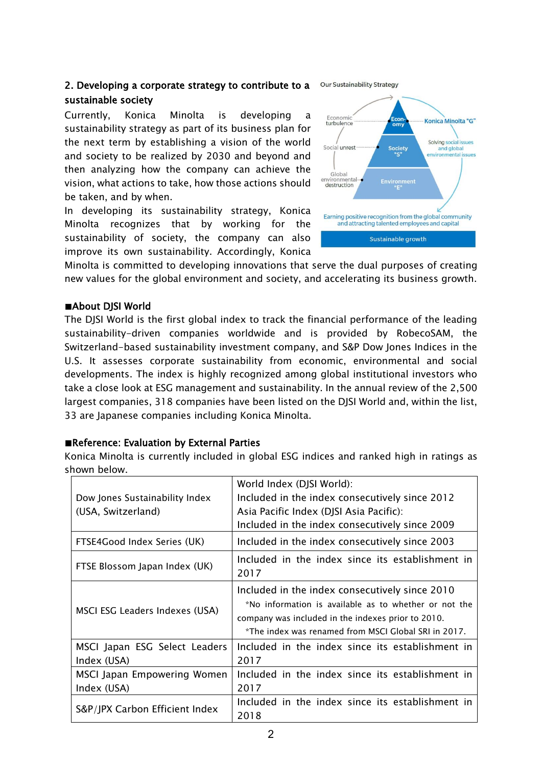## 2. Developing a corporate strategy to contribute to a sustainable society

Currently, Konica Minolta is developing a sustainability strategy as part of its business plan for the next term by establishing a vision of the world and society to be realized by 2030 and beyond and then analyzing how the company can achieve the vision, what actions to take, how those actions should be taken, and by when.

In developing its sustainability strategy, Konica Minolta recognizes that by working for the sustainability of society, the company can also improve its own sustainability. Accordingly, Konica

Economio Konica Minolta "G" turbulence Solving social issues Social unrest and global **Society** environmental issues Global environmental destruction Earning positive recognition from the global community and attracting talented employees and capital

Sustainable growth

**Our Sustainability Strategy** 

Minolta is committed to developing innovations that serve the dual purposes of creating new values for the global environment and society, and accelerating its business growth.

#### ■About DJSI World

The DJSI World is the first global index to track the financial performance of the leading sustainability-driven companies worldwide and is provided by RobecoSAM, the Switzerland-based sustainability investment company, and S&P Dow Jones Indices in the U.S. It assesses corporate sustainability from economic, environmental and social developments. The index is highly recognized among global institutional investors who take a close look at ESG management and sustainability. In the annual review of the 2,500 largest companies, 318 companies have been listed on the DJSI World and, within the list, 33 are Japanese companies including Konica Minolta.

#### ■Reference: Evaluation by External Parties

Konica Minolta is currently included in global ESG indices and ranked high in ratings as shown below.

| Dow Jones Sustainability Index<br>(USA, Switzerland) | World Index (DJSI World):<br>Included in the index consecutively since 2012<br>Asia Pacific Index (DJSI Asia Pacific):<br>Included in the index consecutively since 2009                                              |
|------------------------------------------------------|-----------------------------------------------------------------------------------------------------------------------------------------------------------------------------------------------------------------------|
| FTSE4Good Index Series (UK)                          | Included in the index consecutively since 2003                                                                                                                                                                        |
| FTSE Blossom Japan Index (UK)                        | Included in the index since its establishment in<br>2017                                                                                                                                                              |
| MSCI ESG Leaders Indexes (USA)                       | Included in the index consecutively since 2010<br>*No information is available as to whether or not the<br>company was included in the indexes prior to 2010.<br>*The index was renamed from MSCI Global SRI in 2017. |
| MSCI Japan ESG Select Leaders<br>Index (USA)         | Included in the index since its establishment in<br>2017                                                                                                                                                              |
| MSCI Japan Empowering Women<br>Index (USA)           | Included in the index since its establishment in<br>2017                                                                                                                                                              |
| S&P/JPX Carbon Efficient Index                       | Included in the index since its establishment in<br>2018                                                                                                                                                              |